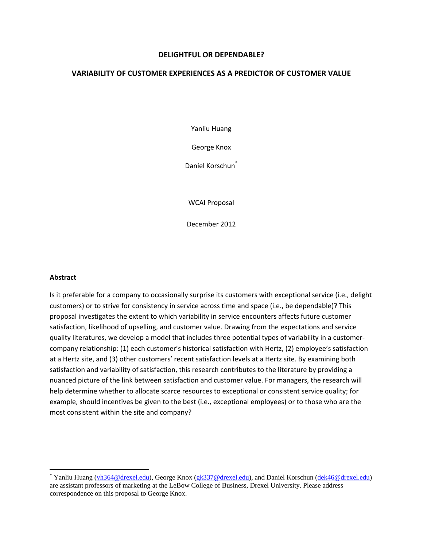#### **DELIGHTFUL OR DEPENDABLE?**

#### **VARIABILITY OF CUSTOMER EXPERIENCES AS A PREDICTOR OF CUSTOMER VALUE**

Yanliu Huang

George Knox

Daniel Korschun<sup>\*</sup>

WCAI Proposal

December 2012

#### **Abstract**

Is it preferable for a company to occasionally surprise its customers with exceptional service (i.e., delight customers) or to strive for consistency in service across time and space (i.e., be dependable)? This proposal investigates the extent to which variability in service encounters affects future customer satisfaction, likelihood of upselling, and customer value. Drawing from the expectations and service quality literatures, we develop a model that includes three potential types of variability in a customer‐ company relationship: (1) each customer's historical satisfaction with Hertz, (2) employee's satisfaction at a Hertz site, and (3) other customers' recent satisfaction levels at a Hertz site. By examining both satisfaction and variability of satisfaction, this research contributes to the literature by providing a nuanced picture of the link between satisfaction and customer value. For managers, the research will help determine whether to allocate scarce resources to exceptional or consistent service quality; for example, should incentives be given to the best (i.e., exceptional employees) or to those who are the most consistent within the site and company?

<sup>\*</sup> Yanliu Huang (yh364@drexel.edu), George Knox (gk337@drexel.edu), and Daniel Korschun (dek46@drexel.edu) are assistant professors of marketing at the LeBow College of Business, Drexel University. Please address correspondence on this proposal to George Knox.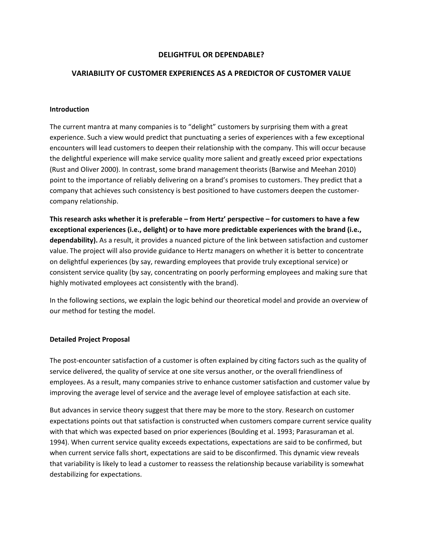#### **DELIGHTFUL OR DEPENDABLE?**

#### **VARIABILITY OF CUSTOMER EXPERIENCES AS A PREDICTOR OF CUSTOMER VALUE**

#### **Introduction**

The current mantra at many companies is to "delight" customers by surprising them with a great experience. Such a view would predict that punctuating a series of experiences with a few exceptional encounters will lead customers to deepen their relationship with the company. This will occur because the delightful experience will make service quality more salient and greatly exceed prior expectations (Rust and Oliver 2000). In contrast, some brand management theorists (Barwise and Meehan 2010) point to the importance of reliably delivering on a brand's promises to customers. They predict that a company that achieves such consistency is best positioned to have customers deepen the customer‐ company relationship.

This research asks whether it is preferable – from Hertz' perspective – for customers to have a few **exceptional experiences (i.e., delight) or to have more predictable experiences with the brand (i.e., dependability).** As a result, it provides a nuanced picture of the link between satisfaction and customer value. The project will also provide guidance to Hertz managers on whether it is better to concentrate on delightful experiences (by say, rewarding employees that provide truly exceptional service) or consistent service quality (by say, concentrating on poorly performing employees and making sure that highly motivated employees act consistently with the brand).

In the following sections, we explain the logic behind our theoretical model and provide an overview of our method for testing the model.

#### **Detailed Project Proposal**

The post-encounter satisfaction of a customer is often explained by citing factors such as the quality of service delivered, the quality of service at one site versus another, or the overall friendliness of employees. As a result, many companies strive to enhance customer satisfaction and customer value by improving the average level of service and the average level of employee satisfaction at each site.

But advances in service theory suggest that there may be more to the story. Research on customer expectations points out that satisfaction is constructed when customers compare current service quality with that which was expected based on prior experiences (Boulding et al. 1993; Parasuraman et al. 1994). When current service quality exceeds expectations, expectations are said to be confirmed, but when current service falls short, expectations are said to be disconfirmed. This dynamic view reveals that variability is likely to lead a customer to reassess the relationship because variability is somewhat destabilizing for expectations.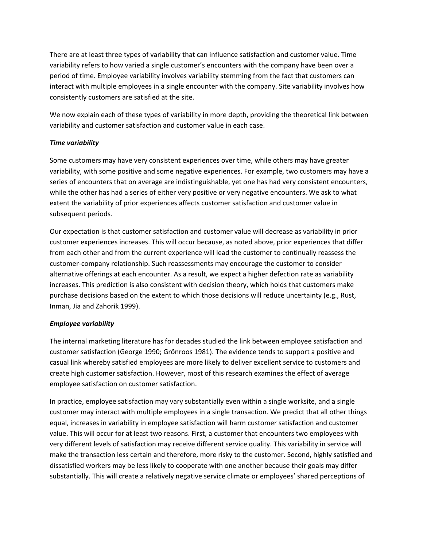There are at least three types of variability that can influence satisfaction and customer value. Time variability refers to how varied a single customer's encounters with the company have been over a period of time. Employee variability involves variability stemming from the fact that customers can interact with multiple employees in a single encounter with the company. Site variability involves how consistently customers are satisfied at the site.

We now explain each of these types of variability in more depth, providing the theoretical link between variability and customer satisfaction and customer value in each case.

#### *Time variability*

Some customers may have very consistent experiences over time, while others may have greater variability, with some positive and some negative experiences. For example, two customers may have a series of encounters that on average are indistinguishable, yet one has had very consistent encounters, while the other has had a series of either very positive or very negative encounters. We ask to what extent the variability of prior experiences affects customer satisfaction and customer value in subsequent periods.

Our expectation is that customer satisfaction and customer value will decrease as variability in prior customer experiences increases. This will occur because, as noted above, prior experiences that differ from each other and from the current experience will lead the customer to continually reassess the customer‐company relationship. Such reassessments may encourage the customer to consider alternative offerings at each encounter. As a result, we expect a higher defection rate as variability increases. This prediction is also consistent with decision theory, which holds that customers make purchase decisions based on the extent to which those decisions will reduce uncertainty (e.g., Rust, Inman, Jia and Zahorik 1999).

#### *Employee variability*

The internal marketing literature has for decades studied the link between employee satisfaction and customer satisfaction (George 1990; Grönroos 1981). The evidence tends to support a positive and casual link whereby satisfied employees are more likely to deliver excellent service to customers and create high customer satisfaction. However, most of this research examines the effect of average employee satisfaction on customer satisfaction.

In practice, employee satisfaction may vary substantially even within a single worksite, and a single customer may interact with multiple employees in a single transaction. We predict that all other things equal, increases in variability in employee satisfaction will harm customer satisfaction and customer value. This will occur for at least two reasons. First, a customer that encounters two employees with very different levels of satisfaction may receive different service quality. This variability in service will make the transaction less certain and therefore, more risky to the customer. Second, highly satisfied and dissatisfied workers may be less likely to cooperate with one another because their goals may differ substantially. This will create a relatively negative service climate or employees' shared perceptions of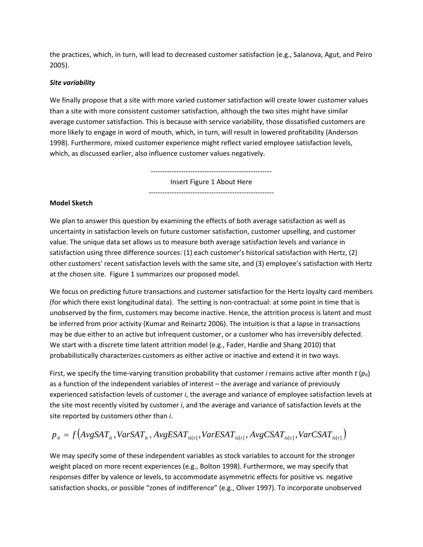the practices, which, in turn, will lead to decreased customer satisfaction (e.g., Salanova, Agut, and Peiro 2005).

#### *Site variability*

We finally propose that a site with more varied customer satisfaction will create lower customer values than a site with more consistent customer satisfaction, although the two sites might have similar average customer satisfaction. This is because with service variability, those dissatisfied customers are more likely to engage in word of mouth, which, in turn, will result in lowered profitability (Anderson 1998). Furthermore, mixed customer experience might reflect varied employee satisfaction levels, which, as discussed earlier, also influence customer values negatively.

> ‐‐‐‐‐‐‐‐‐‐‐‐‐‐‐‐‐‐‐‐‐‐‐‐‐‐‐‐‐‐‐‐‐‐‐‐‐‐‐‐‐‐‐‐‐‐‐‐‐‐‐‐ Insert Figure 1 About Here

‐‐‐‐‐‐‐‐‐‐‐‐‐‐‐‐‐‐‐‐‐‐‐‐‐‐‐‐‐‐‐‐‐‐‐‐‐‐‐‐‐‐‐‐‐‐‐‐‐‐‐‐‐‐

#### **Model Sketch**

We plan to answer this question by examining the effects of both average satisfaction as well as uncertainty in satisfaction levels on future customer satisfaction, customer upselling, and customer value. The unique data set allows us to measure both average satisfaction levels and variance in satisfaction using three difference sources: (1) each customer's historical satisfaction with Hertz, (2) other customers' recent satisfaction levels with the same site, and (3) employee's satisfaction with Hertz at the chosen site. Figure 1 summarizes our proposed model.

We focus on predicting future transactions and customer satisfaction for the Hertz loyalty card members (for which there exist longitudinal data). The setting is non‐contractual: at some point in time that is unobserved by the firm, customers may become inactive. Hence, the attrition process is latent and must be inferred from prior activity (Kumar and Reinartz 2006). The intuition is that a lapse in transactions may be due either to an active but infrequent customer, or a customer who has irreversibly defected. We start with a discrete time latent attrition model (e.g., Fader, Hardie and Shang 2010) that probabilistically characterizes customers as either active or inactive and extend it in two ways.

First, we specify the time‐varying transition probability that customer *i* remains active after month *t* (*pit*) as a function of the independent variables of interest – the average and variance of previously experienced satisfaction levels of customer *i*, the average and variance of employee satisfaction levels at the site most recently visited by customer *i*, and the average and variance of satisfaction levels at the site reported by customers other than *i*.

$$
p_{ii} = f\left(AvgSAT_{ii}, VarSAT_{ii}, AvgESAT_{is[i]}, VarESAT_{is[i]}, AvgCSAT_{is[i]}, VarCSAT_{is[i]}\right)
$$

We may specify some of these independent variables as stock variables to account for the stronger weight placed on more recent experiences (e.g., Bolton 1998). Furthermore, we may specify that responses differ by valence or levels, to accommodate asymmetric effects for positive vs. negative satisfaction shocks, or possible "zones of indifference" (e.g., Oliver 1997). To incorporate unobserved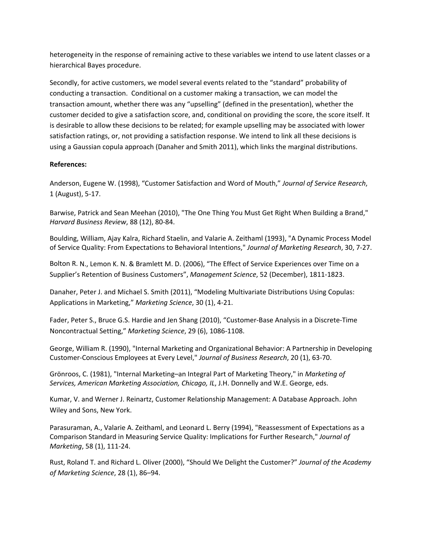heterogeneity in the response of remaining active to these variables we intend to use latent classes or a hierarchical Bayes procedure.

Secondly, for active customers, we model several events related to the "standard" probability of conducting a transaction. Conditional on a customer making a transaction, we can model the transaction amount, whether there was any "upselling" (defined in the presentation), whether the customer decided to give a satisfaction score, and, conditional on providing the score, the score itself. It is desirable to allow these decisions to be related; for example upselling may be associated with lower satisfaction ratings, or, not providing a satisfaction response. We intend to link all these decisions is using a Gaussian copula approach (Danaher and Smith 2011), which links the marginal distributions.

#### **References:**

Anderson, Eugene W. (1998), "Customer Satisfaction and Word of Mouth," *Journal of Service Research*, 1 (August), 5‐17.

Barwise, Patrick and Sean Meehan (2010), "The One Thing You Must Get Right When Building a Brand," *Harvard Business Review*, 88 (12), 80‐84.

Boulding, William, Ajay Kalra, Richard Staelin, and Valarie A. Zeithaml (1993), "A Dynamic Process Model of Service Quality: From Expectations to Behavioral Intentions," *Journal of Marketing Research*, 30, 7‐27.

Bolton R. N., Lemon K. N. & Bramlett M. D. (2006), "The Effect of Service Experiences over Time on a Supplier's Retention of Business Customers", *Management Science*, 52 (December), 1811‐1823.

Danaher, Peter J. and Michael S. Smith (2011), "Modeling Multivariate Distributions Using Copulas: Applications in Marketing," *Marketing Science*, 30 (1), 4‐21.

Fader, Peter S., Bruce G.S. Hardie and Jen Shang (2010), "Customer‐Base Analysis in a Discrete‐Time Noncontractual Setting," *Marketing Science*, 29 (6), 1086‐1108.

George, William R. (1990), "Internal Marketing and Organizational Behavior: A Partnership in Developing Customer‐Conscious Employees at Every Level," *Journal of Business Research*, 20 (1), 63‐70.

Grönroos, C. (1981), "Internal Marketing–an Integral Part of Marketing Theory," in *Marketing of Services, American Marketing Association, Chicago, IL*, J.H. Donnelly and W.E. George, eds.

Kumar, V. and Werner J. Reinartz, Customer Relationship Management: A Database Approach. John Wiley and Sons, New York.

Parasuraman, A., Valarie A. Zeithaml, and Leonard L. Berry (1994), "Reassessment of Expectations as a Comparison Standard in Measuring Service Quality: Implications for Further Research," *Journal of Marketing*, 58 (1), 111‐24.

Rust, Roland T. and Richard L. Oliver (2000), "Should We Delight the Customer?" *Journal of the Academy of Marketing Science*, 28 (1), 86–94.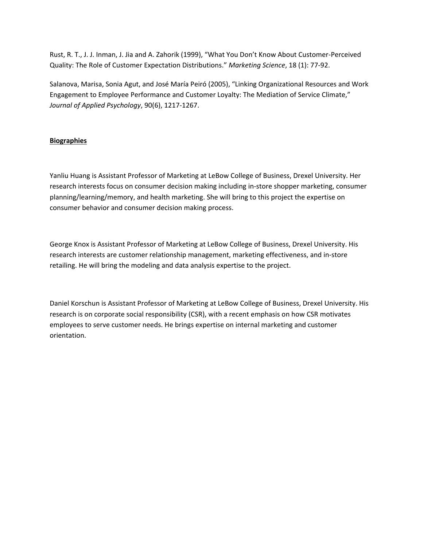Rust, R. T., J. J. Inman, J. Jia and A. Zahorik (1999), "What You Don't Know About Customer‐Perceived Quality: The Role of Customer Expectation Distributions." *Marketing Science*, 18 (1): 77‐92.

Salanova, Marisa, Sonia Agut, and José María Peiró (2005), "Linking Organizational Resources and Work Engagement to Employee Performance and Customer Loyalty: The Mediation of Service Climate," *Journal of Applied Psychology*, 90(6), 1217‐1267.

### **Biographies**

Yanliu Huang is Assistant Professor of Marketing at LeBow College of Business, Drexel University. Her research interests focus on consumer decision making including in‐store shopper marketing, consumer planning/learning/memory, and health marketing. She will bring to this project the expertise on consumer behavior and consumer decision making process.

George Knox is Assistant Professor of Marketing at LeBow College of Business, Drexel University. His research interests are customer relationship management, marketing effectiveness, and in‐store retailing. He will bring the modeling and data analysis expertise to the project.

Daniel Korschun is Assistant Professor of Marketing at LeBow College of Business, Drexel University. His research is on corporate social responsibility (CSR), with a recent emphasis on how CSR motivates employees to serve customer needs. He brings expertise on internal marketing and customer orientation.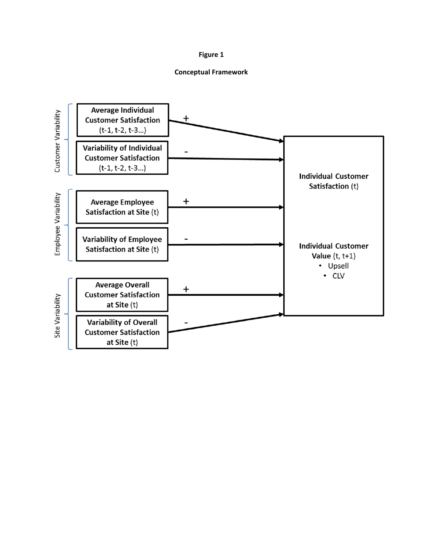